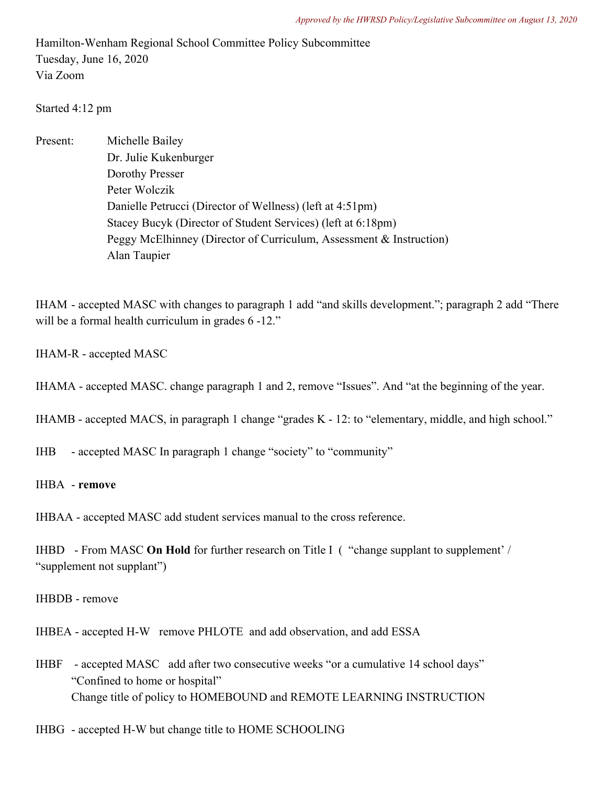Hamilton-Wenham Regional School Committee Policy Subcommittee Tuesday, June 16, 2020 Via Zoom

Started 4:12 pm

Present: Michelle Bailey Dr. Julie Kukenburger Dorothy Presser Peter Wolczik Danielle Petrucci (Director of Wellness) (left at 4:51pm) Stacey Bucyk (Director of Student Services) (left at 6:18pm) Peggy McElhinney (Director of Curriculum, Assessment & Instruction) Alan Taupier

IHAM - accepted MASC with changes to paragraph 1 add "and skills development."; paragraph 2 add "There will be a formal health curriculum in grades  $6 -12$ ."

- IHAM-R accepted MASC
- IHAMA accepted MASC. change paragraph 1 and 2, remove "Issues". And "at the beginning of the year.

IHAMB - accepted MACS, in paragraph 1 change "grades K - 12: to "elementary, middle, and high school."

IHB - accepted MASC In paragraph 1 change "society" to "community"

## IHBA - **remove**

IHBAA - accepted MASC add student services manual to the cross reference.

IHBD - From MASC **On Hold** for further research on Title I ( "change supplant to supplement' / "supplement not supplant")

## IHBDB - remove

IHBEA - accepted H-W remove PHLOTE and add observation, and add ESSA

- IHBF accepted MASC add after two consecutive weeks "or a cumulative 14 school days" "Confined to home or hospital" Change title of policy to HOMEBOUND and REMOTE LEARNING INSTRUCTION
- IHBG accepted H-W but change title to HOME SCHOOLING